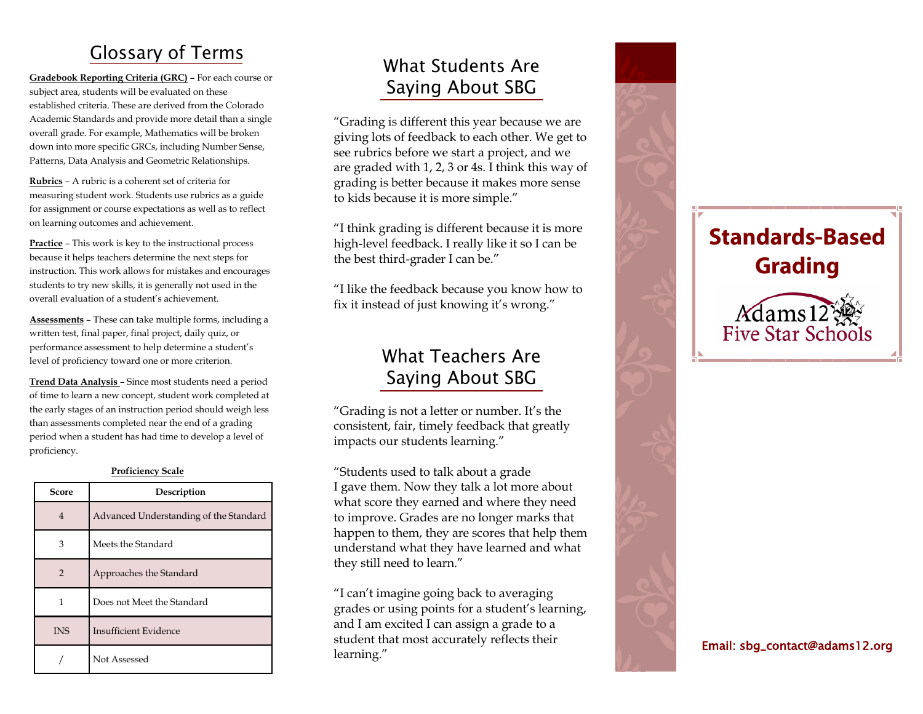# **Glossary of Terms**

**Gradebook Reporting Criteria (GRC)** – For each course or subject area, students will be evaluated on these established criteria. These are derived from the Colorado Academic Standards and provide more detail than a single overall grade. For example, Mathematics will be broken down into more specific GRCs, including Number Sense, Patterns, Data Analysis and Geometric Relationships.

**Rubrics** – A rubric is a coherent set of criteria for measuring student work. Students use rubrics as a guide for assignment or course expectations as well as to reflect on learning outcomes and achievement.

**Practice** – This work is key to the instructional process because it helps teachers determine the next steps for instruction. This work allows for mistakes and encourages students to try new skills, it is generally not used in the overall evaluation of a student's achievement.

**Assessments** – These can take multiple forms, including a written test, final paper, final project, daily quiz, or performance assessment to help determine a student's level of proficiency toward one or more criterion.

**Trend Data Analysis**  – Since most students need a period of time to learn a new concept, student work completed at the early stages of an instruction period should weigh less than assessments completed near the end of a grading period when a student has had time to develop a level of proficiency.

| <b>Proficiency Scale</b> |  |
|--------------------------|--|
|                          |  |

| Score         | Description                            |
|---------------|----------------------------------------|
| 4             | Advanced Understanding of the Standard |
| 3             | Meets the Standard                     |
| $\mathcal{P}$ | Approaches the Standard                |
| 1             | Does not Meet the Standard             |
| <b>INS</b>    | Insufficient Evidence                  |
|               | Not Assessed                           |

# What Students Are **Saying About SBG**

"Grading is different this year because we are giving lots of feedback to each other. We get to see rubrics before we start a project, and we are graded with 1, 2, 3 or 4s. I think this way of grading is better because it makes more sense to kids because it is more simple."

"I think grading is different because it is more high -level feedback. I really like it so I can be the best third -grader I can be."

"I like the feedback because you know how to fix it instead of just knowing it's wrong."

## **What Teachers Are Saying About SBG**

"Grading is not a letter or number. It's the consistent, fair, timely feedback that greatly impacts our students learning."

"Students used to talk about a grade I gave them. Now they talk a lot more about what score they earned and where they need to improve. Grades are no longer marks that happen to them, they are scores that help them understand what they have learned and what they still need to learn."

"I can't imagine going back to averaging grades or using points for a student's learning, and I am excited I can assign a grade to a student that most accurately reflects their learning."